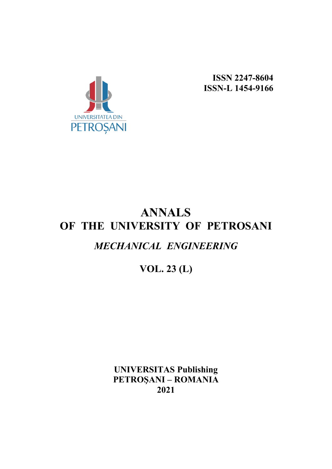

**ISSN 2247-8604 ISSN-L 1454-9166**

# **ANNALS OF THE UNIVERSITY OF PETROSANI** *MECHANICAL ENGINEERING*

## **VOL. 23 (L)**

**UNIVERSITAS Publishing PETROŞANI – ROMANIA 2021**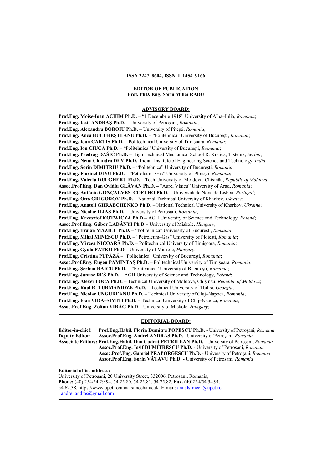#### **EDITOR OF PUBLICATION Prof. PhD. Eng. Sorin Mihai RADU**

#### **ADVISORY BOARD:**

**Prof.Eng. Moise-Ioan ACHIM Ph.D.** – "1 Decembrie 1918" University of Alba–Iulia, *Romania*; **Prof.Eng. Iosif ANDRAŞ Ph.D.** – University of Petroşani, *Romania*; **Prof.Eng. Alexandru BOROIU Ph.D.** – University of Piteşti, *Romania*; **Prof.Eng. Anca BUCUREȘTEANU Ph.D.** – "Politehnica" University of Bucureşti, *Romania*; **Prof.Eng. Ioan CARŢIŞ Ph.D.** – Politechnical University of Timişoara, *Romania*; **Prof.Eng. Ion CIUCĂ Ph.D.** – "Politehnica" University of Bucureşti, *Romania*; **Prof.Eng. Predrag DAŠIĆ Ph.D.** – High Technical Mechanical School R. Krstića, Trstenik, *Serbia*; **Prof.Eng. Netai Chandra DEY Ph.D.** Indian Institute of Engineering Science and Technology, *India* **Prof.Eng. Sorin DIMITRIU Ph.D.** – "Politehnica" University of Bucureşti, *Romania*; **Prof.Eng. Florinel DINU Ph.D.** – "Petroleum–Gas" University of Ploieşti, *Romania*; **Prof.Eng. Valeriu DULGHERU Ph.D.** – Tech.University of Moldova, Chişinău, *Republic of Moldova*; **Assoc.Prof.Eng. Dan Ovidiu GLĂVAN Ph.D. –** "Aurel Vlaicu" University of Arad, *Romania*; **Prof.Eng. António GONÇALVES–COELHO Ph.D. –** Universidade Nova de Lisboa, *Portugal*; **Prof.Eng. Otto GRIGOROV Ph.D.** – National Technical University of Kharkov, *Ukraine*; **Prof.Eng. Anatoli GHRABCHENKO Ph.D.** – National Technical University of Kharkov, *Ukraine*; **Prof.Eng. Nicolae ILIAŞ Ph.D.** – University of Petroşani, *Romania*; **Prof.Eng. Krzysztof KOTWICZA Ph.D** – AGH University of Science and Technology, *Poland*; **Assoc.Prof.Eng. Gábor LADÁNYI Ph.D** – University of Miskolc, *Hungary*; **Prof.Eng. Traian MAZILU Ph.D. –** "Politehnica" University of Bucureşti, *Romania*; **Prof.Eng. Mihai MINESCU Ph.D.** – "Petroleum–Gas" University of Ploieşti, *Romania*; **Prof.Eng. Mircea NICOARĂ Ph.D.** – Politechnical University of Timişoara, *Romania*; **Prof.Eng. Gyula PATKO Ph.D** – University of Miskolc, *Hungary*; **Prof.Eng. Cristina PUPĂZĂ** – "Politehnica" University of Bucureşti, *Romania*; **Assoc.Prof.Eng. Eugen PĂMÎNTAŞ Ph.D.** – Politechnical University of Timişoara, *Romania*; **Prof.Eng. Şerban RAICU Ph.D.** – "Politehnica" University of Bucureşti, *Romania*; **Prof.Eng. Janusz REŚ Ph.D.** – AGH University of Science and Technology, *Poland*; **Prof.Eng. Alexei TOCA Ph.D.** – Technical University of Moldova, Chişinău, *Republic of Moldova*; **Prof.Eng. Raul R. TURMANIDZE Ph.D.** – Technical University of Tbilisi, *Georgia*; **Prof.Eng. Nicolae UNGUREANU Ph.D.** – Technical University of Cluj–Napoca, *Romania*; **Prof.Eng. Ioan VIDA–SIMITI Ph.D.** – Technical University of Cluj–Napoca, *Romania*; **Assoc.Prof.Eng. Zoltán VIRÁG Ph.D** – University of Miskolc, *Hungary*;

#### **EDITORIAL BOARD:**

**Editor-in-chief: Prof.Eng.Habil. Florin Dumitru POPESCU Ph.D.** - University of Petroşani, *Romania* **Deputy Editor: Assoc.Prof.Eng. Andrei ANDRAŞ Ph.D.** - University of Petroşani, *Romania* **Associate Editors: Prof.Eng.Habil. Dan Codruț PETRILEAN Ph.D.** - University of Petroşani, *Romania* **Assoc.Prof.Eng. Iosif DUMITRESCU Ph.D.** - University of Petroşani, *Romania* **Assoc.Prof.Eng. Gabriel PRAPORGESCU Ph.D.** - University of Petroşani, *Romania* **Assoc.Prof.Eng. Sorin VĂTAVU Ph.D.** - University of Petroşani, *Romania*

**Editorial office address:**

University of Petroșani, 20 University Street, 332006, Petroșani, Romania, **Phone:** (40) 254/54.29.94, 54.25.80, 54.25.81, 54.25.82, **Fax.** (40)254/54.34.91, 54.62.38,<https://www.upet.ro/annals/mechanical/> E-mail: [annals-mech@upet.ro](mailto:annals-mech@upet.ro) *|* [andrei.andras@gmail.com](mailto:andrei.andras@gmail.com)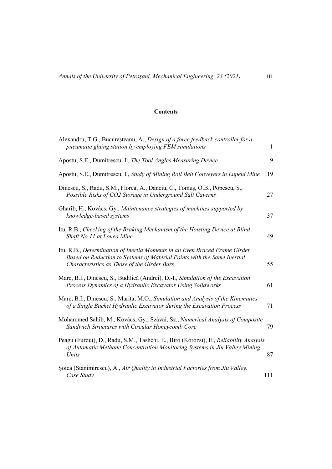## **Contents**

| Alexandru, T.G., Bucureșteanu, A., Design of a force feedback controller for a<br>pneumatic gluing station by employing FEM simulations                                                              | $\mathbf{1}$ |
|------------------------------------------------------------------------------------------------------------------------------------------------------------------------------------------------------|--------------|
| Apostu, S.E., Dumitrescu, I., The Tool Angles Measuring Device                                                                                                                                       | 9            |
| Apostu, S.E., Dumitrescu, I., Study of Mining Roll Belt Conveyers in Lupeni Mine                                                                                                                     | 19           |
| Dinescu, S., Radu, S.M., Florea, A., Danciu, C., Tomuș, O.B., Popescu, S.,<br>Possible Risks of CO2 Storage in Underground Salt Caverns                                                              | 27           |
| Gharib, H., Kovács, Gy., Maintenance strategies of machines supported by<br>knowledge-based systems                                                                                                  | 37           |
| Itu, R.B., Checking of the Braking Mechanism of the Hoisting Device at Blind<br>Shaft No.11 at Lonea Mine                                                                                            | 49           |
| Itu, R.B., Determination of Inertia Moments in an Even Braced Frame Girder<br>Based on Reduction to Systems of Material Points with the Same Inertial<br>Characteristics as Those of the Girder Bars | 55           |
| Marc, B.I., Dinescu, S., Budilică (Andrei), D.-I., Simulation of the Excavation<br>Process Dynamics of a Hydraulic Excavator Using Solidworks                                                        | 61           |
| Marc, B.I., Dinescu, S., Marita, M.O., Simulation and Analysis of the Kinematics<br>of a Single Bucket Hydraulic Excavator during the Excavation Process                                             | 71           |
| Mohammed Sahib, M., Kovács, Gy., Szávai, Sz., Numerical Analysis of Composite<br>Sandwich Structures with Circular Honeycomb Core                                                                    | 79           |
| Peagu (Furdui), D., Radu, S.M., Tashchi, E., Biro (Korozsi), E., Reliability Analysis<br>of Automatic Methane Concentration Monitoring Systems in Jiu Valley Mining<br>Units                         | 87           |
| Soica (Stanimirescu), A., Air Quality in Industrial Factories from Jiu Valley.<br>Case Study                                                                                                         | 111          |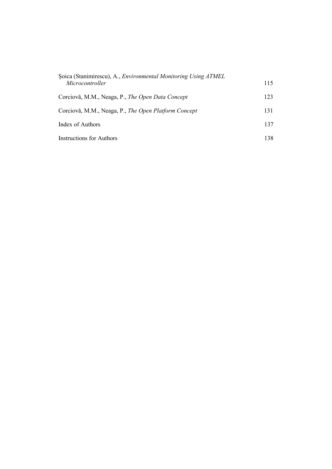| Soica (Stanimirescu), A., Environmental Monitoring Using ATMEL<br>Microcontroller | 115 |
|-----------------------------------------------------------------------------------|-----|
| Corciovă, M.M., Neaga, P., The Open Data Concept                                  | 123 |
| Corciovă, M.M., Neaga, P., The Open Platform Concept                              | 131 |
| Index of Authors                                                                  | 137 |
| <b>Instructions for Authors</b>                                                   | 138 |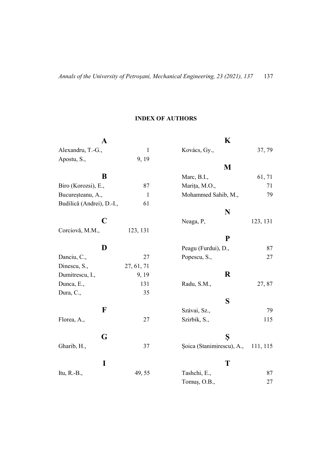## **INDEX OF AUTHORS**

| A                         |              | K                                     |     |
|---------------------------|--------------|---------------------------------------|-----|
| Alexandru, T.-G.,         | $\mathbf{1}$ | Kovács, Gy.,<br>37, 79                |     |
| Apostu, S.,               | 9, 19        |                                       |     |
|                           |              | M                                     |     |
| B                         |              | Marc, B.I.,<br>61, 71                 |     |
| Biro (Korozsi), E.,       | 87           | Marița, M.O.,                         | 71  |
| Bucureșteanu, A.,         | $\mathbf{1}$ | Mohammed Sahib, M.,                   | 79  |
| Budilică (Andrei), D.-I., | 61           |                                       |     |
|                           |              | N                                     |     |
| C                         |              | Neaga, P,<br>123, 131                 |     |
| Corciovă, M.M.,           | 123, 131     |                                       |     |
|                           |              | ${\bf P}$                             |     |
| D                         |              | Peagu (Furdui), D.,                   | 87  |
| Danciu, C.,               | 27           | Popescu, S.,                          | 27  |
| Dinescu, S.,              | 27, 61, 71   |                                       |     |
| Dumitrescu, I.,           | 9, 19        | R                                     |     |
| Dunca, E.,                | 131          | Radu, S.M.,<br>27,87                  |     |
| Dura, C.,                 | 35           |                                       |     |
|                           |              | S                                     |     |
| F                         |              | Szávai, Sz.,                          | 79  |
| Florea, A.,               | 27           | Szirbik, S.,                          | 115 |
|                           |              |                                       |     |
| G                         |              | Ş                                     |     |
| Gharib, H.,               | 37           | Soica (Stanimirescu), A.,<br>111, 115 |     |
|                           |              |                                       |     |
| I                         |              | T                                     |     |
| Itu, R.-B.,               | 49, 55       | Tashchi, E.,                          | 87  |
|                           |              | Tomuş, O.B.,                          | 27  |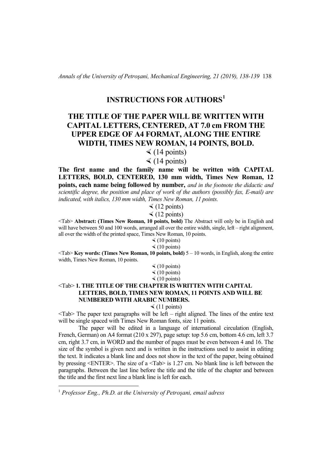*Annals of the University of Petroşani, Mechanical Engineering, 21 (2019), 138-139* 138

## **INSTRUCTIONS FOR AUTHORS[1](#page-5-0)**

## **THE TITLE OF THE PAPER WILL BE WRITTEN WITH CAPITAL LETTERS, CENTERED, AT 7.0 cm FROM THE UPPER EDGE OF A4 FORMAT, ALONG THE ENTIRE WIDTH, TIMES NEW ROMAN, 14 POINTS, BOLD.**

 $\triangleleft$  (14 points)

 $\triangleleft$  (14 points)

**The first name and the family name will be written with CAPITAL LETTERS, BOLD, CENTERED, 130 mm width, Times New Roman, 12 points, each name being followed by number,** *and in the footnote the didactic and scientific degree, the position and place of work of the authors (possibly fax, E-mail) are indicated, with italics, 130 mm width, Times New Roman, 11 points.* 

 $\triangleleft$  (12 points)

 $\triangleleft$  (12 points)

<Tab> **Abstract: (Times New Roman, 10 points, bold)** The Abstract will only be in English and will have between 50 and 100 words, arranged all over the entire width, single, left – right alignment, all over the width of the printed space, Times New Roman, 10 points.

> $\leq$  (10 points)  $\leq$  (10 points)

<Tab> **Key words: (Times New Roman, 10 points, bold)** 5 – 10 words, in English, along the entire width, Times New Roman, 10 points.

> $\leq$  (10 points)  $\leq$  (10 points)  $\leq$  (10 points)

## <Tab> **1. THE TITLE OF THE CHAPTER IS WRITTEN WITH CAPITAL LETTERS, BOLD, TIMES NEW ROMAN, 11 POINTS AND WILL BE NUMBERED WITH ARABIC NUMBERS.**

 $\triangleleft$  (11 points)

 $\langle \text{Tab}\rangle$  The paper text paragraphs will be left – right aligned. The lines of the entire text will be single spaced with Times New Roman fonts, size 11 points.

The paper will be edited in a language of international circulation (English, French, German) on A4 format (210 x 297), page setup: top 5.6 cm, bottom 4.6 cm, left 3.7 cm, right 3.7 cm, in WORD and the number of pages must be even between 4 and 16. The size of the symbol is given next and is written in the instructions used to assist in editing the text. It indicates a blank line and does not show in the text of the paper, being obtained by pressing <ENTER>. The size of a <Tab> is 1.27 cm. No blank line is left between the paragraphs. Between the last line before the title and the title of the chapter and between the title and the first next line a blank line is left for each.

<span id="page-5-0"></span> <sup>1</sup> *Professor Eng., Ph.D. at the University of Petroşani, email adress*